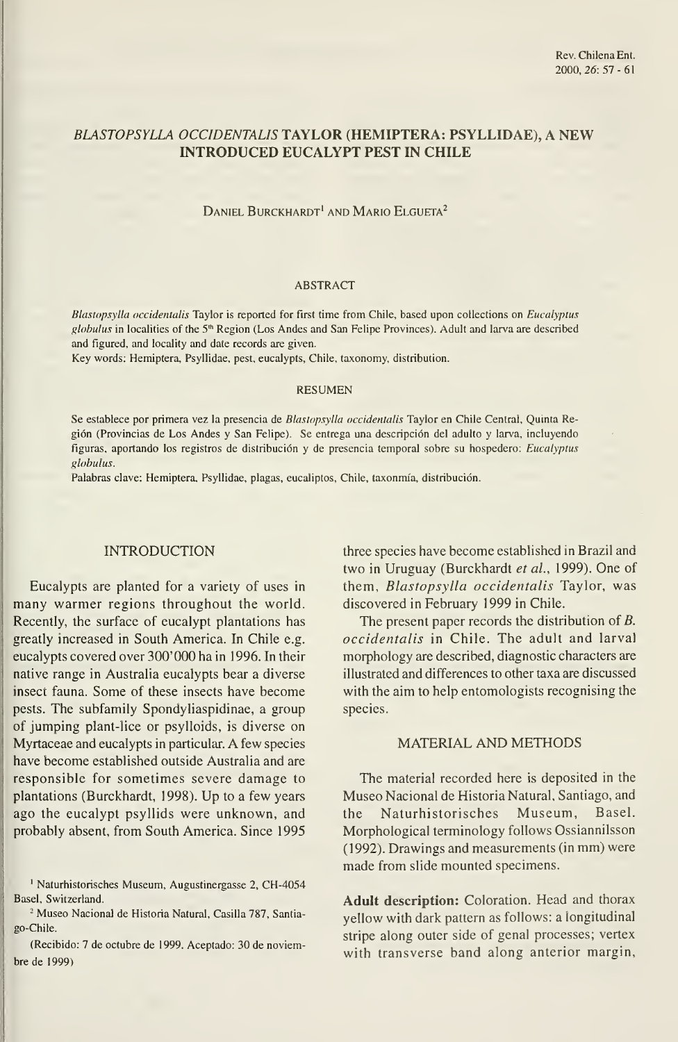# BLASTOPSYLLA OCCIDENTALIS TAYLOR (HEMIPTERA: PSYLLIDAE), A NEW INTRODUCED EUCALYPT PEST IN CHILE

DANIEL BURCKHARDT<sup>1</sup> AND MARIO ELGUETA<sup>2</sup>

## ABSTRACT

Blastopsylla occidentalis Taylor is reported for first time from Chile, based upon collections on Eucalyptus globulus in localities of the 5<sup>th</sup> Region (Los Andes and San Felipe Provinces). Adult and larva are described and figured, and locality and date records are given.

Key words: Hemiptera, Psyllidae, pest, eucalypts, Chile, taxonomy, distribution.

#### RESUMEN

Se establece por primera vez la presencia de Blastopsylla occidentalis Taylor en Chile Central, Quinta Región (Provincias de Los Andes y San Felipe). Se entrega una descripción del adulto y larva, incluyendo figuras, aportando los registros de distribución y de presencia temporal sobre su hospedero: Eucalyptus globulus.

Palabras clave: Hemiptera, Psyllidae, plagas, eucaliptos, Chile, taxonmía, distribución.

#### INTRODUCTION

Eucalypts are planted for a variety of uses in many warmer regions throughout the world. Recently, the surface of eucalypt plantations has greatly increased in South America. In Chile e.g. eucalypts covered over 300' 000 ha in 1996. In their native range in Australia eucalypts bear a diverse insect fauna. Some of these insects have become pests. The subfamily Spondyliaspidinae, a group of jumping plant-lice or psylloids, is diverse on Myrtaceae and eucalypts in particular. A few species have become established outside Australia and are responsible for sometimes severe damage to plantations (Burckhardt, 1998). Up to a few years ago the eucalypt psyllids were unknown, and probably absent, from South America. Since 1995

' Naturhistorisches Museum, Augustinergasse 2, CH-4054 Basel, Switzerland.

<sup>2</sup> Museo Nacional de Historia Natural, Casilla 787, Santiago-Chile.

(Recibido: 7 de octubre de 1999. Aceptado: 30 de noviembre de 1999)

three species have become established in Brazil and two in Uruguay (Burckhardt et al., 1999). One of them, Blastopsylla occidentalis Taylor, was discovered in February 1999 in Chile.

The present paper records the distribution of B. occidentalis in Chile. The adult and larval morphology are described, diagnostic characters are illustrated and differences to other taxa are discussed with the aim to help entomologists recognising the species.

### MATERIAL AND METHODS

The material recorded here is deposited in the Museo Nacional de Historia Natural, Santiago, and the Naturhistorisches Museum, Basel. Morphological terminology follows Ossiannilsson (1992). Drawings and measurements (in mm) were made from slide mounted specimens.

Adult description: Coloration. Head and thorax yellow with dark pattern as follows: a longitudinal stripe along outer side of genal processes; vertex with transverse band along anterior margin,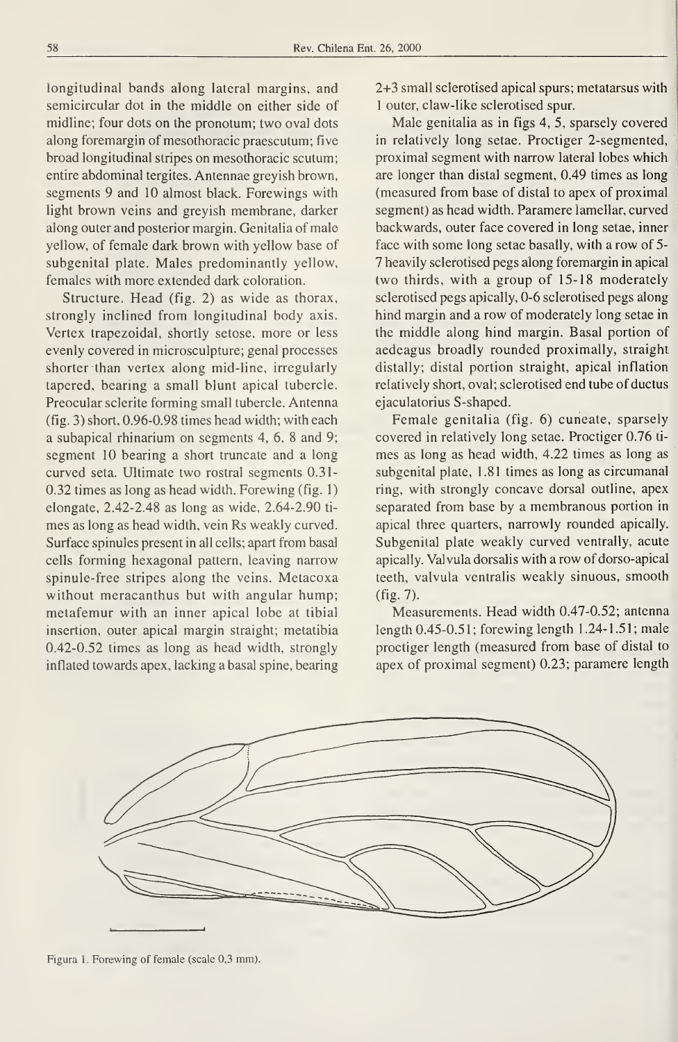longitudinal bands along lateral margins, and semicircular dot in the middle on either side of midline; four dots on the pronotum; two oval dots along foremargin of mesothoracic praescutum; five broad longitudinal stripes on mesothoracic scutum; entire abdominal tergites. Antennae greyish brown, segments 9 and 10 almost black. Forewings with light brown veins and greyish membrane, darker along outer and posterior margin. Genitalia of male yellow, of female dark brown with yellow base of subgenital plate. Males predominantly yellow, females with more extended dark coloration.

Structure. Head (fig. 2) as wide as thorax, strongly inclined from longitudinal body axis. Vertex trapezoidal, shortly setose, more or less evenly covered in microsculpture; genal processes shorter than vertex along mid-line, irregularly tapered, bearing a small blunt apical tubercle. Preocular sclerite forming small tubercle. Antenna (fig. 3) short, 0.96-0.98 times head width; with each a subapical rhinarium on segments 4, 6, 8 and 9; segment 10 bearing a short truncate and a long curved seta. Ultímate two rostral segments 0.31- 0.32 times as long as head width. Forewing (fig. 1) elongate, 2.42-2.48 as long as wide, 2.64-2.90 ti mes as long as head width, vein Rs weakly curved. Surface spinules present in all cells; apart from basal cells forming hexagonal pattern, leaving narrow spinule-free stripes along the veins. Metacoxa without meracanthus but with angular hump; metafemur with an inner apical lobe at tibial insertion, outer apical margin straight; metatibia 0.42-0.52 times as long as head width, strongly inflated towards apex, lacking a basal spine, bearing 2+3 small sclerotised apical spurs; metatarsus with <sup>1</sup> outer, claw-like sclerotised spur.

Male genitalia as in figs 4, 5, sparsely covered in relatively long setae. Proctiger 2-segmented, proximal segment with narrow lateral lobes which are longer than distal segment, 0.49 times as long (measured from base of distal to apex of proximal segment) as head width. Paramere lamellar, curved backwards, outer face covered in long setae, inner face with some long setae basally, with a row of 5- 7 heavily sclerotised pegs along foremargin in apical two thirds, with a group of 15-18 moderately sclerotised pegs apically, 0-6 sclerotised pegs along hind margin and a row of moderately long setae in the middle along hind margin. Basal portion of aedeagus broadly rounded proximally, straight distally; distal portion straight, apical inflation relatively short, oval; sclerotised end tube of ductus ejaculatorius S-shaped.

Female genitalia (fig. 6) cuneate, sparsely covered in relatively long setae. Proctiger 0.76 ti mes as long as head width, 4.22 times as long as subgenital plate, 1.81 times as long as circumanal ring, with strongly concave dorsal outline, apex separated from base by a membranous portion in apical three quarters, narrowly rounded apically. Subgenital plate weakly curved ventrally, acute apically. Válvula dorsalis with a row of dorso-apical teeth, valvula ventralis weakly sinuous, smooth (fig. 7).

Measurements. Head width 0.47-0.52; antenna length 0.45-0.5 <sup>1</sup> ; forewing length <sup>1</sup> .24- <sup>1</sup> .5 <sup>1</sup> ; male proctiger length (measured from base of distal to apex of proximal segment) 0.23; paramere length



Figura 1. Forewing of female (scale 0,3 mm).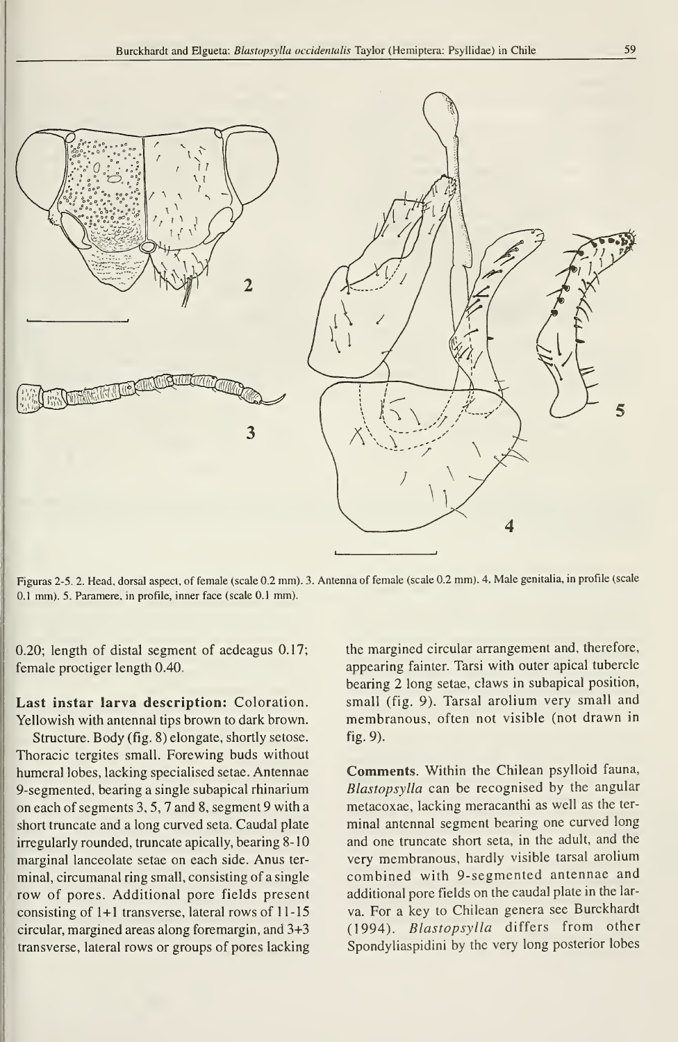

Figuras 2-5. 2. Head, dorsal aspect, of female (scale 0.2 mm). 3. Antenna of female (scale 0.2 mm). 4. Male genitalia, in profile (scale 0.1 mm). 5. Paramere, in profile, inner face (scale 0.1 mm).

0.20; length of distal segment of aedeagus 0.17; female proctiger length 0.40.

Last instar larva description: Coloration. Yellowish with antennal tips brown to dark brown.

Structure. Body (fig. 8) elongate, shortly setose. Thoracic tergites small. Forewing buds without humeral lobes, lacking specialised setae. Antennae 9-segmented, bearing a single subapical rhinarium on each of segments 3, 5, 7 and 8, segment 9 with a short truncate and a long curved seta. Caudal plate irregularly rounded, truncate apically, bearing 8-10 marginal lanceolate setae on each side. Anus ter minal, circumanal ring small, consisting of a single row of pores. Additional pore fields present consisting of  $1+1$  transverse, lateral rows of  $11-15$ circular, margined áreas along foremargin, and 3+3 transverse, lateral rows or groups of pores lacking

the margined circular arrangement and, therefore, appearing fainter. Tarsi with outer apical tubercle bearing 2 long setae, claws in subapical position, small (fig. 9). Tarsal arolium very small and membranous, often not visible (not drawn in fig. 9).

Comments. Within the Chilean psylloid fauna, Blastopsylla can be recognised by the angular metacoxae, lacking meracanthi as well as the ter minal antennal segment bearing one curved long and one truncate short seta, in the adult, and the very membranous, hardly visible tarsal arolium combined with 9-segmented antennae and additional pore fields on the caudal plate in the larva. For a key to Chilean genera see Burckhardt (1994). Blastopsylla differs from other Spondyliaspidini by the very long posterior lobes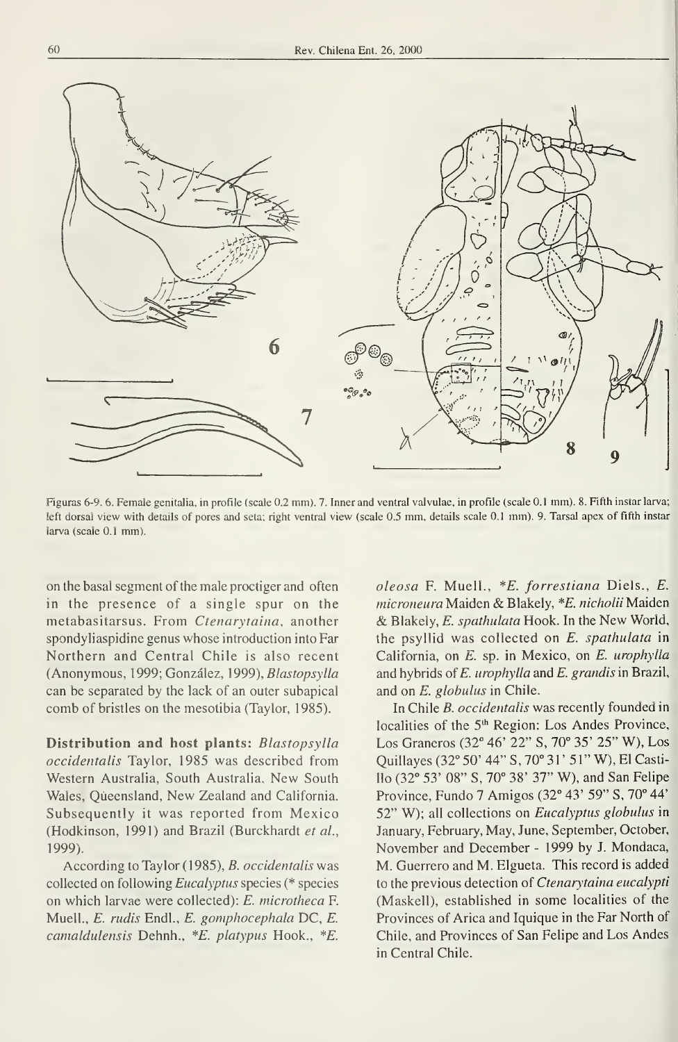

Figuras 6-9. 6. Female genitalia, in profile (scale 0.2 mm). 7. Inner and ventral valvulae, in profile (scale 0. <sup>1</sup> mm). 8. Fifth instar larva; left dorsal view with details of pores and seta; right ventral view (scale 0.5 mm, details scale 0.1 mm). 9. Tarsal apex of fifth instar larva (scale 0.1 mm).

on the basal segment of the male proctiger and often in the presence of a single spur on the metabasitarsus. From Ctenarytaina, another spondyliaspidine genus whose introduction into Far Northern and Central Chile is also recent (Anonymous, 1999; González, 1999), Blastopsylla can be separated by the lack of an outer subapical comb of bristles on the mesotibia (Taylor, 1985).

Distribution and host plants: Blastopsylla occidentalis Taylor, 1985 was described from Western Australia, South Australia, New South Wales, Qúeensland, New Zealand and California. Subsequently it was reported from Mexico (Hodkinson, 1991) and Brazil (Burckhardt et al., 1999).

According to Taylor (1985), B. occidentalis was collected on following Eucalyptus species (\* species on which larvae were collected): E. microtheca F. Muell., E. rudis Endl., E. gomphocephala DC, E. camaldulensis Dehnh., \*£. platypus Hook., \*£.

oleosa F. Muell., \*E. forrestiana Diels., E. microneura Maiden & Blakely, \*E. nicholii Maiden & Blakely, E. spathulata Hook. In the New World, the psyllid was collected on E. spathulata in California, on E. sp. in Mexico, on E. urophylla and hybrids of  $E$ . urophylla and  $E$ . grandis in Brazil, and on E. globulus in Chile.

In Chile B. occidentalis was recently founded in localities of the 5<sup>th</sup> Region: Los Andes Province, Los Graneros (32° 46' 22" S, 70° 35' 25" W), Los Quillayes (32° 50' 44" S, 70° <sup>3</sup> 1' 5 <sup>1</sup> " W), El Castillo (32° 53' 08" S, 70° 38' 37" W), and San Felipe Province, Fundo 7 Amigos (32° 43' 59" S, 70° 44' 52" W); all collections on Eucalyptus globulus in January, February, May, June, September, October, November and December - 1999 by J. Mondaca, M. Guerrero and M. Elgueta. This record is added to the previous detection of Ctenarytaina eucalypti (Maskell), established in some localities of the Provinces of Arica and Iquique in the Far North of Chile, and Provinces of San Felipe and Los Andes in Central Chile.